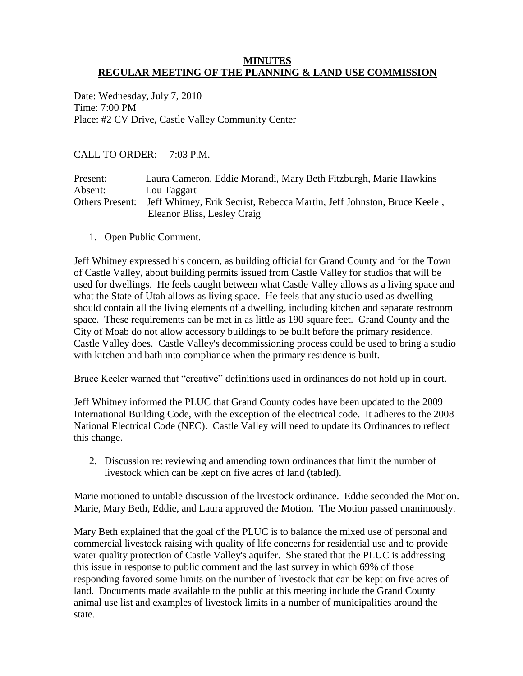# **MINUTES REGULAR MEETING OF THE PLANNING & LAND USE COMMISSION**

Date: Wednesday, July 7, 2010 Time: 7:00 PM Place: #2 CV Drive, Castle Valley Community Center

CALL TO ORDER: 7:03 P.M.

| Present:               | Laura Cameron, Eddie Morandi, Mary Beth Fitzburgh, Marie Hawkins        |
|------------------------|-------------------------------------------------------------------------|
| Absent:                | Lou Taggart                                                             |
| <b>Others Present:</b> | Jeff Whitney, Erik Secrist, Rebecca Martin, Jeff Johnston, Bruce Keele, |
|                        | Eleanor Bliss, Lesley Craig                                             |

1. Open Public Comment.

Jeff Whitney expressed his concern, as building official for Grand County and for the Town of Castle Valley, about building permits issued from Castle Valley for studios that will be used for dwellings. He feels caught between what Castle Valley allows as a living space and what the State of Utah allows as living space. He feels that any studio used as dwelling should contain all the living elements of a dwelling, including kitchen and separate restroom space. These requirements can be met in as little as 190 square feet. Grand County and the City of Moab do not allow accessory buildings to be built before the primary residence. Castle Valley does. Castle Valley's decommissioning process could be used to bring a studio with kitchen and bath into compliance when the primary residence is built.

Bruce Keeler warned that "creative" definitions used in ordinances do not hold up in court.

Jeff Whitney informed the PLUC that Grand County codes have been updated to the 2009 International Building Code, with the exception of the electrical code. It adheres to the 2008 National Electrical Code (NEC). Castle Valley will need to update its Ordinances to reflect this change.

2. Discussion re: reviewing and amending town ordinances that limit the number of livestock which can be kept on five acres of land (tabled).

Marie motioned to untable discussion of the livestock ordinance. Eddie seconded the Motion. Marie, Mary Beth, Eddie, and Laura approved the Motion. The Motion passed unanimously.

Mary Beth explained that the goal of the PLUC is to balance the mixed use of personal and commercial livestock raising with quality of life concerns for residential use and to provide water quality protection of Castle Valley's aquifer. She stated that the PLUC is addressing this issue in response to public comment and the last survey in which 69% of those responding favored some limits on the number of livestock that can be kept on five acres of land. Documents made available to the public at this meeting include the Grand County animal use list and examples of livestock limits in a number of municipalities around the state.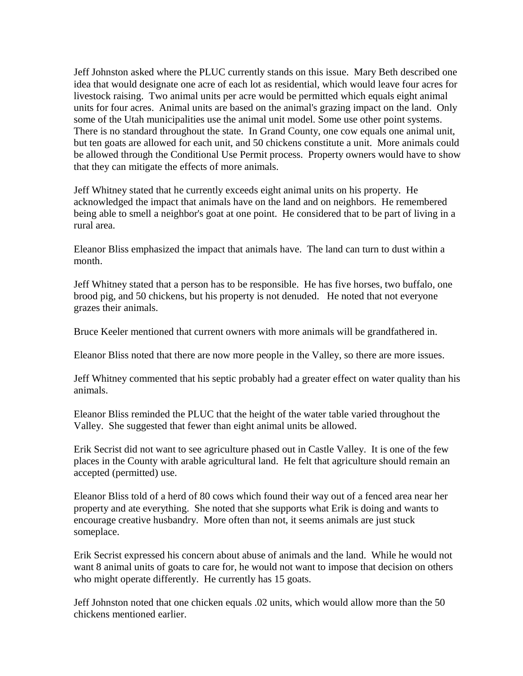Jeff Johnston asked where the PLUC currently stands on this issue. Mary Beth described one idea that would designate one acre of each lot as residential, which would leave four acres for livestock raising. Two animal units per acre would be permitted which equals eight animal units for four acres. Animal units are based on the animal's grazing impact on the land. Only some of the Utah municipalities use the animal unit model. Some use other point systems. There is no standard throughout the state. In Grand County, one cow equals one animal unit, but ten goats are allowed for each unit, and 50 chickens constitute a unit. More animals could be allowed through the Conditional Use Permit process. Property owners would have to show that they can mitigate the effects of more animals.

Jeff Whitney stated that he currently exceeds eight animal units on his property. He acknowledged the impact that animals have on the land and on neighbors. He remembered being able to smell a neighbor's goat at one point. He considered that to be part of living in a rural area.

Eleanor Bliss emphasized the impact that animals have. The land can turn to dust within a month.

Jeff Whitney stated that a person has to be responsible. He has five horses, two buffalo, one brood pig, and 50 chickens, but his property is not denuded. He noted that not everyone grazes their animals.

Bruce Keeler mentioned that current owners with more animals will be grandfathered in.

Eleanor Bliss noted that there are now more people in the Valley, so there are more issues.

Jeff Whitney commented that his septic probably had a greater effect on water quality than his animals.

Eleanor Bliss reminded the PLUC that the height of the water table varied throughout the Valley. She suggested that fewer than eight animal units be allowed.

Erik Secrist did not want to see agriculture phased out in Castle Valley. It is one of the few places in the County with arable agricultural land. He felt that agriculture should remain an accepted (permitted) use.

Eleanor Bliss told of a herd of 80 cows which found their way out of a fenced area near her property and ate everything. She noted that she supports what Erik is doing and wants to encourage creative husbandry. More often than not, it seems animals are just stuck someplace.

Erik Secrist expressed his concern about abuse of animals and the land. While he would not want 8 animal units of goats to care for, he would not want to impose that decision on others who might operate differently. He currently has 15 goats.

Jeff Johnston noted that one chicken equals .02 units, which would allow more than the 50 chickens mentioned earlier.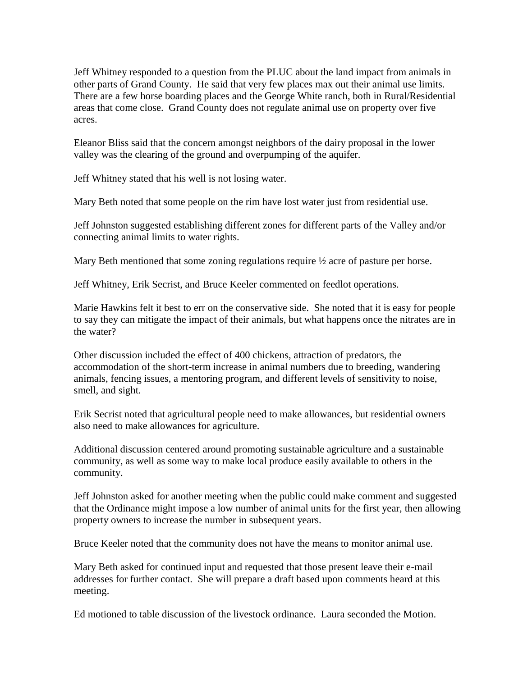Jeff Whitney responded to a question from the PLUC about the land impact from animals in other parts of Grand County. He said that very few places max out their animal use limits. There are a few horse boarding places and the George White ranch, both in Rural/Residential areas that come close. Grand County does not regulate animal use on property over five acres.

Eleanor Bliss said that the concern amongst neighbors of the dairy proposal in the lower valley was the clearing of the ground and overpumping of the aquifer.

Jeff Whitney stated that his well is not losing water.

Mary Beth noted that some people on the rim have lost water just from residential use.

Jeff Johnston suggested establishing different zones for different parts of the Valley and/or connecting animal limits to water rights.

Mary Beth mentioned that some zoning regulations require ½ acre of pasture per horse.

Jeff Whitney, Erik Secrist, and Bruce Keeler commented on feedlot operations.

Marie Hawkins felt it best to err on the conservative side. She noted that it is easy for people to say they can mitigate the impact of their animals, but what happens once the nitrates are in the water?

Other discussion included the effect of 400 chickens, attraction of predators, the accommodation of the short-term increase in animal numbers due to breeding, wandering animals, fencing issues, a mentoring program, and different levels of sensitivity to noise, smell, and sight.

Erik Secrist noted that agricultural people need to make allowances, but residential owners also need to make allowances for agriculture.

Additional discussion centered around promoting sustainable agriculture and a sustainable community, as well as some way to make local produce easily available to others in the community.

Jeff Johnston asked for another meeting when the public could make comment and suggested that the Ordinance might impose a low number of animal units for the first year, then allowing property owners to increase the number in subsequent years.

Bruce Keeler noted that the community does not have the means to monitor animal use.

Mary Beth asked for continued input and requested that those present leave their e-mail addresses for further contact. She will prepare a draft based upon comments heard at this meeting.

Ed motioned to table discussion of the livestock ordinance. Laura seconded the Motion.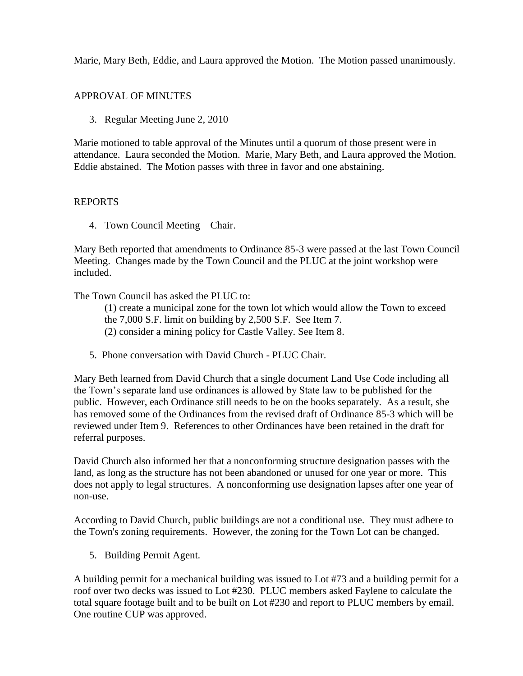Marie, Mary Beth, Eddie, and Laura approved the Motion. The Motion passed unanimously.

# APPROVAL OF MINUTES

3. Regular Meeting June 2, 2010

Marie motioned to table approval of the Minutes until a quorum of those present were in attendance. Laura seconded the Motion. Marie, Mary Beth, and Laura approved the Motion. Eddie abstained. The Motion passes with three in favor and one abstaining.

# REPORTS

4. Town Council Meeting – Chair.

Mary Beth reported that amendments to Ordinance 85-3 were passed at the last Town Council Meeting. Changes made by the Town Council and the PLUC at the joint workshop were included.

The Town Council has asked the PLUC to:

- (1) create a municipal zone for the town lot which would allow the Town to exceed
- the 7,000 S.F. limit on building by 2,500 S.F. See Item 7.
- (2) consider a mining policy for Castle Valley. See Item 8.
- 5. Phone conversation with David Church PLUC Chair.

Mary Beth learned from David Church that a single document Land Use Code including all the Town's separate land use ordinances is allowed by State law to be published for the public. However, each Ordinance still needs to be on the books separately. As a result, she has removed some of the Ordinances from the revised draft of Ordinance 85-3 which will be reviewed under Item 9. References to other Ordinances have been retained in the draft for referral purposes.

David Church also informed her that a nonconforming structure designation passes with the land, as long as the structure has not been abandoned or unused for one year or more. This does not apply to legal structures. A nonconforming use designation lapses after one year of non-use.

According to David Church, public buildings are not a conditional use. They must adhere to the Town's zoning requirements. However, the zoning for the Town Lot can be changed.

5. Building Permit Agent.

A building permit for a mechanical building was issued to Lot #73 and a building permit for a roof over two decks was issued to Lot #230. PLUC members asked Faylene to calculate the total square footage built and to be built on Lot #230 and report to PLUC members by email. One routine CUP was approved.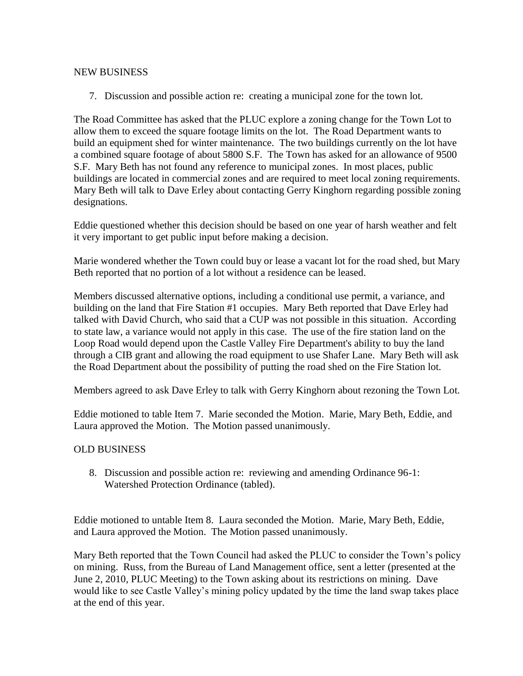# NEW BUSINESS

7. Discussion and possible action re: creating a municipal zone for the town lot.

The Road Committee has asked that the PLUC explore a zoning change for the Town Lot to allow them to exceed the square footage limits on the lot. The Road Department wants to build an equipment shed for winter maintenance. The two buildings currently on the lot have a combined square footage of about 5800 S.F. The Town has asked for an allowance of 9500 S.F. Mary Beth has not found any reference to municipal zones. In most places, public buildings are located in commercial zones and are required to meet local zoning requirements. Mary Beth will talk to Dave Erley about contacting Gerry Kinghorn regarding possible zoning designations.

Eddie questioned whether this decision should be based on one year of harsh weather and felt it very important to get public input before making a decision.

Marie wondered whether the Town could buy or lease a vacant lot for the road shed, but Mary Beth reported that no portion of a lot without a residence can be leased.

Members discussed alternative options, including a conditional use permit, a variance, and building on the land that Fire Station #1 occupies. Mary Beth reported that Dave Erley had talked with David Church, who said that a CUP was not possible in this situation. According to state law, a variance would not apply in this case. The use of the fire station land on the Loop Road would depend upon the Castle Valley Fire Department's ability to buy the land through a CIB grant and allowing the road equipment to use Shafer Lane. Mary Beth will ask the Road Department about the possibility of putting the road shed on the Fire Station lot.

Members agreed to ask Dave Erley to talk with Gerry Kinghorn about rezoning the Town Lot.

Eddie motioned to table Item 7. Marie seconded the Motion. Marie, Mary Beth, Eddie, and Laura approved the Motion. The Motion passed unanimously.

# OLD BUSINESS

8. Discussion and possible action re: reviewing and amending Ordinance 96-1: Watershed Protection Ordinance (tabled).

Eddie motioned to untable Item 8. Laura seconded the Motion. Marie, Mary Beth, Eddie, and Laura approved the Motion. The Motion passed unanimously.

Mary Beth reported that the Town Council had asked the PLUC to consider the Town's policy on mining. Russ, from the Bureau of Land Management office, sent a letter (presented at the June 2, 2010, PLUC Meeting) to the Town asking about its restrictions on mining. Dave would like to see Castle Valley's mining policy updated by the time the land swap takes place at the end of this year.